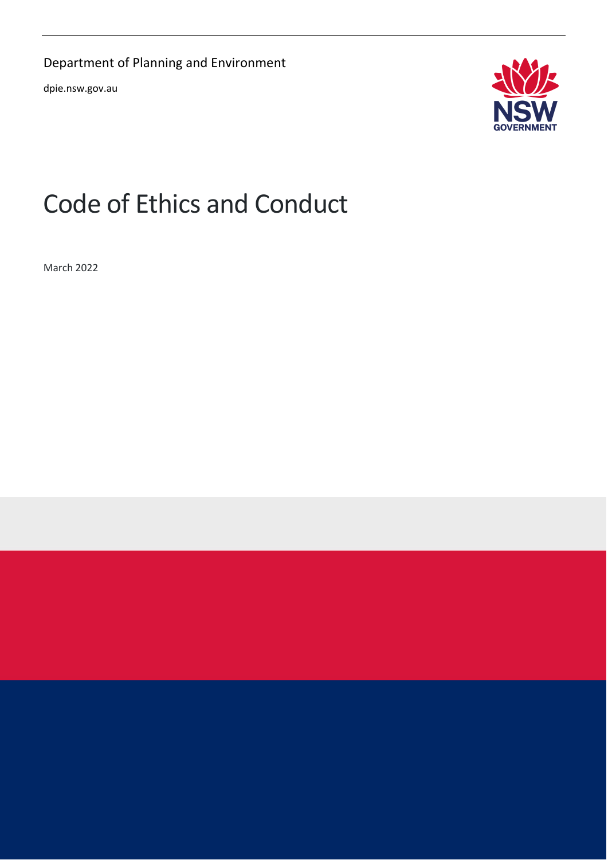Department of Planning and Environment

dpie.nsw.gov.au



# Code of Ethics and Conduct

March 2022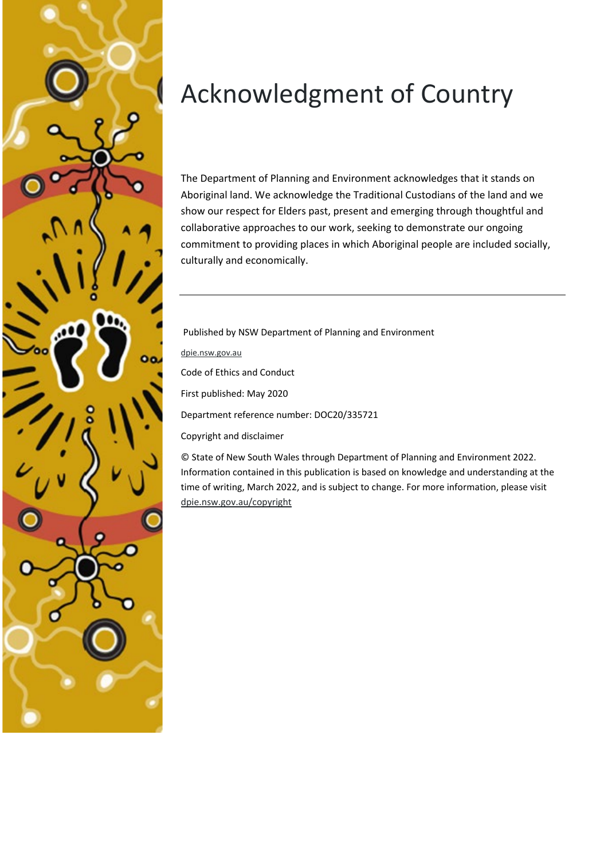

# Acknowledgment of Country

The Department of Planning and Environment acknowledges that it stands on Aboriginal land. We acknowledge the Traditional Custodians of the land and we show our respect for Elders past, present and emerging through thoughtful and collaborative approaches to our work, seeking to demonstrate our ongoing commitment to providing places in which Aboriginal people are included socially, culturally and economically.

Published by NSW Department of Planning and Environment

[dpie.nsw.gov.au](https://www.dpie.nsw.gov.au/)

Code of Ethics and Conduct

First published: May 2020

Department reference number: DOC20/335721

Copyright and disclaimer

© State of New South Wales through Department of Planning and Environment 2022. Information contained in this publication is based on knowledge and understanding at the time of writing, March 2022, and is subject to change. For more information, please visit [dpie.nsw.gov.au/copyright](https://www.dpie.nsw.gov.au/copyright)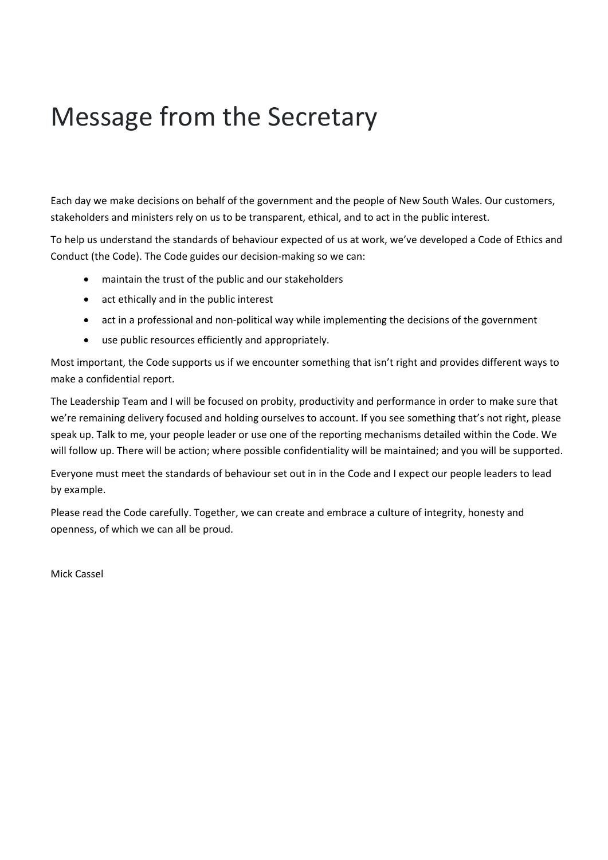# <span id="page-2-0"></span>Message from the Secretary

Each day we make decisions on behalf of the government and the people of New South Wales. Our customers, stakeholders and ministers rely on us to be transparent, ethical, and to act in the public interest.

To help us understand the standards of behaviour expected of us at work, we've developed a Code of Ethics and Conduct (the Code). The Code guides our decision-making so we can:

- maintain the trust of the public and our stakeholders
- act ethically and in the public interest
- act in a professional and non-political way while implementing the decisions of the government
- use public resources efficiently and appropriately.

Most important, the Code supports us if we encounter something that isn't right and provides different ways to make a confidential report.

The Leadership Team and I will be focused on probity, productivity and performance in order to make sure that we're remaining delivery focused and holding ourselves to account. If you see something that's not right, please speak up. Talk to me, your people leader or use one of the reporting mechanisms detailed within the Code. We will follow up. There will be action; where possible confidentiality will be maintained; and you will be supported.

Everyone must meet the standards of behaviour set out in in the Code and I expect our people leaders to lead by example.

Please read the Code carefully. Together, we can create and embrace a culture of integrity, honesty and openness, of which we can all be proud.

Mick Cassel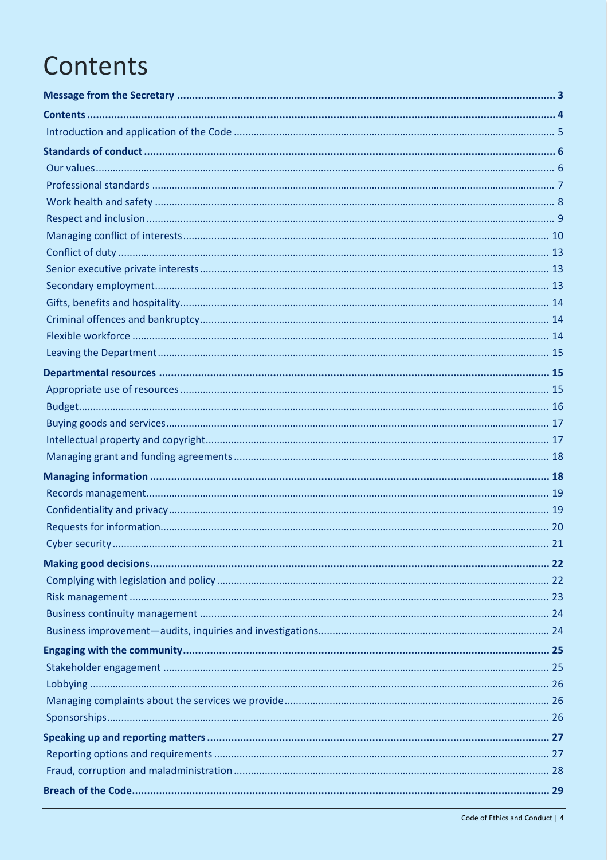# <span id="page-3-0"></span>Contents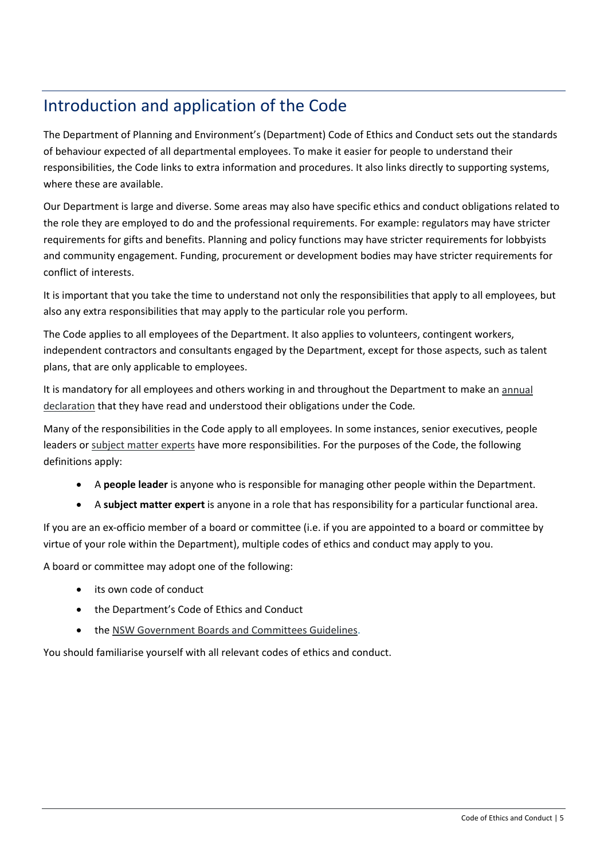# <span id="page-4-0"></span>Introduction and application of the Code

The Department of Planning and Environment's (Department) Code of Ethics and Conduct sets out the standards of behaviour expected of all departmental employees. To make it easier for people to understand their responsibilities, the Code links to extra information and procedures. It also links directly to supporting systems, where these are available.

Our Department is large and diverse. Some areas may also have specific ethics and conduct obligations related to the role they are employed to do and the professional requirements. For example: regulators may have stricter requirements for gifts and benefits. Planning and policy functions may have stricter requirements for lobbyists and community engagement. Funding, procurement or development bodies may have stricter requirements for conflict of interests.

It is important that you take the time to understand not only the responsibilities that apply to all employees, but also any extra responsibilities that may apply to the particular role you perform.

The Code applies to all employees of the Department. It also applies to volunteers, contingent workers, independent contractors and consultants engaged by the Department, except for those aspects, such as talent plans, that are only applicable to employees.

It is mandatory for all employees and others working in and throughout the Department to make an [annual](https://environmentnswgov.sharepoint.com/sites/DPIE-EthicsPortal/Pages/Home.aspx)  [declaration](https://environmentnswgov.sharepoint.com/sites/DPIE-EthicsPortal/Pages/Home.aspx) that they have read and understood their obligations under the Code*.*

Many of the responsibilities in the Code apply to all employees. In some instances, senior executives, people leaders or [subject matter experts](https://intranet.dpie.nsw.gov.au/ethics-conduct/our-subject-experts) have more responsibilities. For the purposes of the Code, the following definitions apply:

- A **people leader** is anyone who is responsible for managing other people within the Department.
- A **subject matter expert** is anyone in a role that has responsibility for a particular functional area.

If you are an ex-officio member of a board or committee (i.e. if you are appointed to a board or committee by virtue of your role within the Department), multiple codes of ethics and conduct may apply to you.

A board or committee may adopt one of the following:

- its own code of conduct
- the Department's Code of Ethics and Conduct
- the [NSW Government Boards and Committees Guidelines.](https://arp.nsw.gov.au/m2013-06-nsw-government-boards-and-committees-guidelines)

You should familiarise yourself with all relevant codes of ethics and conduct.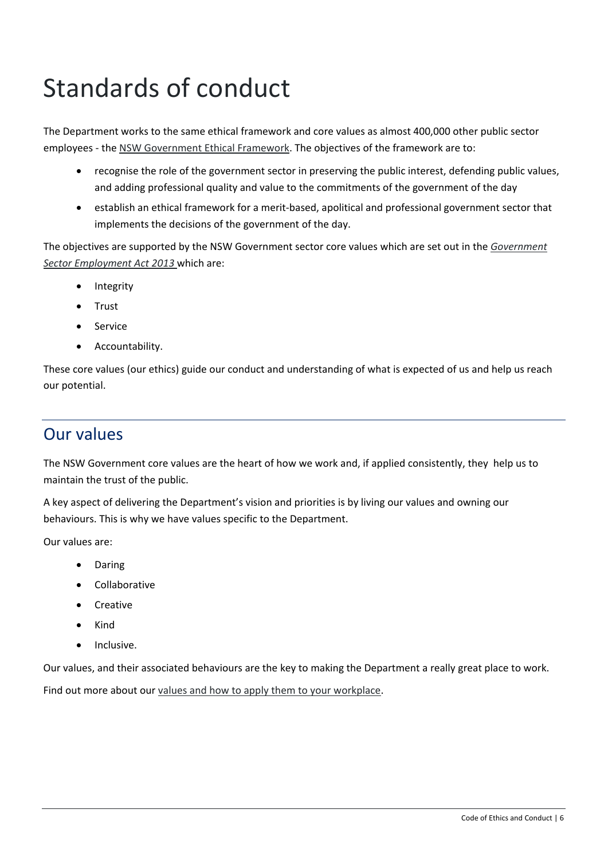# <span id="page-5-0"></span>Standards of conduct

The Department works to the same ethical framework and core values as almost 400,000 other public sector employees - the [NSW Government Ethical Framework.](https://www.psc.nsw.gov.au/culture-and-inclusion/workplace-culture/the-ethical-framework) The objectives of the framework are to:

- recognise the role of the government sector in preserving the public interest, defending public values, and adding professional quality and value to the commitments of the government of the day
- establish an ethical framework for a merit-based, apolitical and professional government sector that implements the decisions of the government of the day.

The objectives are supported by the NSW Government sector core values which are set out in the *[Government](https://www.legislation.nsw.gov.au/#/view/act/2013/40)  [Sector Employment Act 2013](https://www.legislation.nsw.gov.au/#/view/act/2013/40)* which are:

- Integrity
- Trust
- Service
- Accountability.

These core values (our ethics) guide our conduct and understanding of what is expected of us and help us reach our potential.

### <span id="page-5-1"></span>Our values

The NSW Government core values are the heart of how we work and, if applied consistently, they help us to maintain the trust of the public.

A key aspect of delivering the Department's vision and priorities is by living our values and owning our behaviours. This is why we have values specific to the Department.

Our values are:

- Daring
- Collaborative
- Creative
- Kind
- Inclusive.

Our values, and their associated behaviours are the key to making the Department a really great place to work.

Find out more about our [values and how to apply them to your workplace.](https://intranet.dpie.nsw.gov.au/about-us/our-dpie-vision,-priorities-and-values)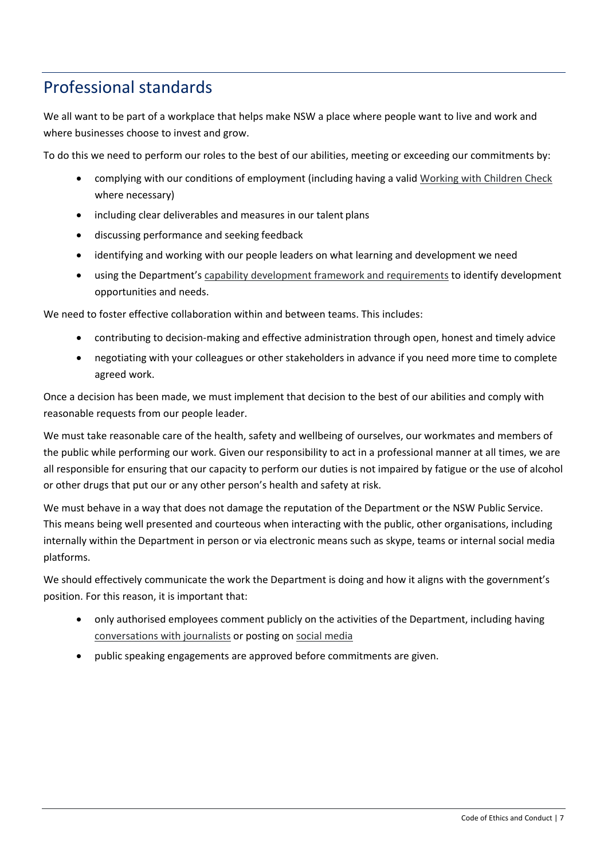## <span id="page-6-0"></span>Professional standards

We all want to be part of a workplace that helps make NSW a place where people want to live and work and where businesses choose to invest and grow.

To do this we need to perform our roles to the best of our abilities, meeting or exceeding our commitments by:

- complying with our conditions of employment (including having a valid [Working with Children Check](https://intranet.dpie.nsw.gov.au/industry/code-of-ethics-and-conduct/governance-risk-and-compliance/current-policies/child-safety/child-safe-workplaces) where necessary)
- including clear deliverables and measures in our talent plans
- discussing performance and seeking feedback
- identifying and working with our people leaders on what learning and development we need
- using the Department's [capability development framework and requirements](https://intranet.dpie.nsw.gov.au/industry/employment/capability-and-development) to identify development opportunities and needs.

We need to foster effective collaboration within and between teams. This includes:

- contributing to decision-making and effective administration through open, honest and timely advice
- negotiating with your colleagues or other stakeholders in advance if you need more time to complete agreed work.

Once a decision has been made, we must implement that decision to the best of our abilities and comply with reasonable requests from our people leader.

We must take reasonable care of the health, safety and wellbeing of ourselves, our workmates and members of the public while performing our work. Given our responsibility to act in a professional manner at all times, we are all responsible for ensuring that our capacity to perform our duties is not impaired by fatigue or the use of alcohol or other drugs that put our or any other person's health and safety at risk.

We must behave in a way that does not damage the reputation of the Department or the NSW Public Service. This means being well presented and courteous when interacting with the public, other organisations, including internally within the Department in person or via electronic means such as skype, teams or internal social media platforms.

We should effectively communicate the work the Department is doing and how it aligns with the government's position. For this reason, it is important that:

- only authorised employees comment publicly on the activities of the Department, including having [conversations with journalists](https://intranet.dpie.nsw.gov.au/your-services/communications/media) or posting on [social media](https://intranet.dpie.nsw.gov.au/your-services/communications-and-engagement/social-media)
- public speaking engagements are approved before commitments are given.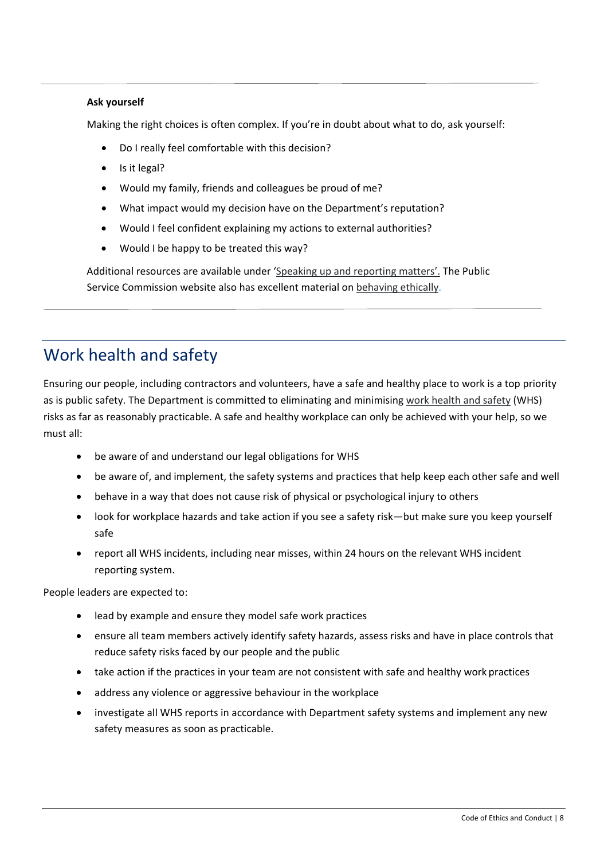#### **Ask yourself**

Making the right choices is often complex. If you're in doubt about what to do, ask yourself:

- Do I really feel comfortable with this decision?
- Is it legal?
- Would my family, friends and colleagues be proud of me?
- What impact would my decision have on the Department's reputation?
- Would I feel confident explaining my actions to external authorities?
- Would I be happy to be treated this way?

Additional resources are available under ['Speaking up and reporting matters'.](https://intranet.dpie.nsw.gov.au/ethics-conduct/speaking-up) The Public Service Commission website also has excellent material on [behaving ethically.](https://www.psc.nsw.gov.au/employmentportal/ethics-conduct/behaving-ethically/behaving-ethically-guide/section-3/introduction)

# <span id="page-7-0"></span>Work health and safety

Ensuring our people, including contractors and volunteers, have a safe and healthy place to work is a top priority as is public safety. The Department is committed to eliminating and minimising [work health and safety](https://intranet.dpie.nsw.gov.au/your-services/human-resources/work,-health-and-safety) (WHS) risks as far as reasonably practicable. A safe and healthy workplace can only be achieved with your help, so we must all:

- be aware of and understand our legal obligations for WHS
- be aware of, and implement, the safety systems and practices that help keep each other safe and well
- behave in a way that does not cause risk of physical or psychological injury to others
- look for workplace hazards and take action if you see a safety risk—but make sure you keep yourself safe
- report all WHS incidents, including near misses, within 24 hours on the relevant WHS incident reporting system.

People leaders are expected to:

- lead by example and ensure they model safe work practices
- ensure all team members actively identify safety hazards, assess risks and have in place controls that reduce safety risks faced by our people and the public
- take action if the practices in your team are not consistent with safe and healthy work practices
- address any violence or aggressive behaviour in the workplace
- investigate all WHS reports in accordance with Department safety systems and implement any new safety measures as soon as practicable.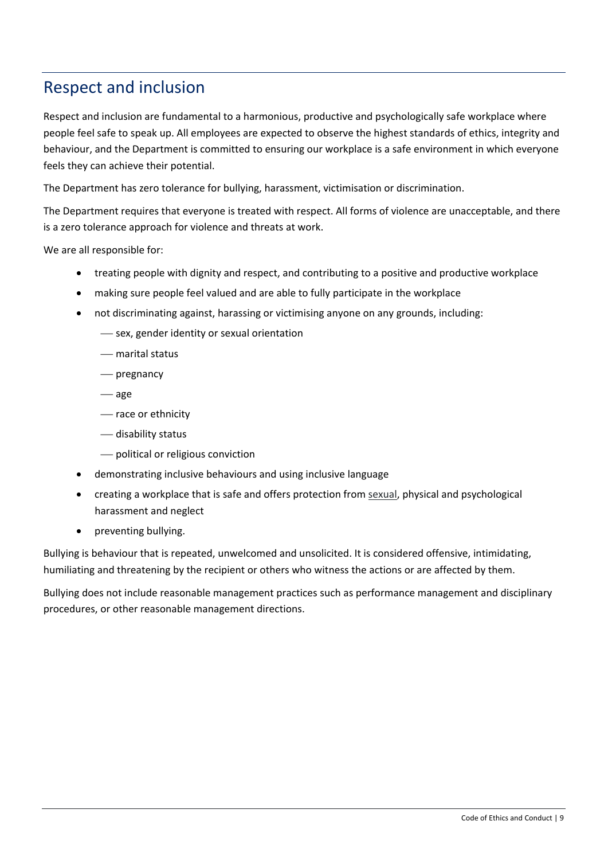### <span id="page-8-0"></span>Respect and inclusion

Respect and inclusion are fundamental to a harmonious, productive and psychologically safe workplace where people feel safe to speak up. All employees are expected to observe the highest standards of ethics, integrity and behaviour, and the Department is committed to ensuring our workplace is a safe environment in which everyone feels they can achieve their potential.

The Department has zero tolerance for bullying, harassment, victimisation or discrimination.

The Department requires that everyone is treated with respect. All forms of violence are unacceptable, and there is a zero tolerance approach for violence and threats at work.

We are all responsible for:

- treating people with dignity and respect, and contributing to a positive and productive workplace
- making sure people feel valued and are able to fully participate in the workplace
- not discriminating against, harassing or victimising anyone on any grounds, including:
	- $-$  sex, gender identity or sexual orientation
	- marital status
	- pregnancy
	- age
	- race or ethnicity
	- disability status
	- political or religious conviction
- demonstrating inclusive behaviours and using inclusive language
- creating a workplace that is safe and offers protection from [sexual,](https://intranet.dpie.nsw.gov.au/your-services/human-resources/workplace-people-issues/sexual-harassment) physical and psychological harassment and neglect
- preventing bullying.

Bullying is behaviour that is repeated, unwelcomed and unsolicited. It is considered offensive, intimidating, humiliating and threatening by the recipient or others who witness the actions or are affected by them.

Bullying does not include reasonable management practices such as performance management and disciplinary procedures, or other reasonable management directions.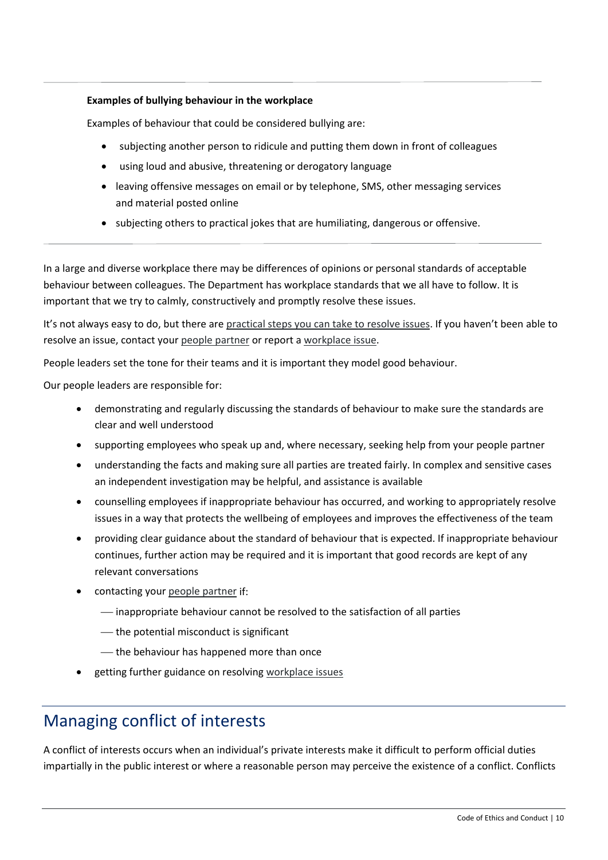#### **Examples of bullying behaviour in the workplace**

Examples of behaviour that could be considered bullying are:

- subjecting another person to ridicule and putting them down in front of colleagues
- using loud and abusive, threatening or derogatory language
- leaving offensive messages on email or by telephone, SMS, other messaging services and material posted online
- subjecting others to practical jokes that are humiliating, dangerous or offensive.

In a large and diverse workplace there may be differences of opinions or personal standards of acceptable behaviour between colleagues. The Department has workplace standards that we all have to follow. It is important that we try to calmly, constructively and promptly resolve these issues.

It's not always easy to do, but there are [practical steps you can take to resolve issues.](https://intranet.dpie.nsw.gov.au/your-services/human-resources/workplace-people-issues/workplace-issue) If you haven't been able to resolve an issue, contact your [people partner](https://intranet.dpie.nsw.gov.au/industry/support-and-services/people_partners) or report [a workplace issue.](https://form.jotform.co/92866887525881)

People leaders set the tone for their teams and it is important they model good behaviour.

Our people leaders are responsible for:

- demonstrating and regularly discussing the standards of behaviour to make sure the standards are clear and well understood
- supporting employees who speak up and, where necessary, seeking help from your people partner
- understanding the facts and making sure all parties are treated fairly. In complex and sensitive cases an independent investigation may be helpful, and assistance is available
- counselling employees if inappropriate behaviour has occurred, and working to appropriately resolve issues in a way that protects the wellbeing of employees and improves the effectiveness of the team
- providing clear guidance about the standard of behaviour that is expected. If inappropriate behaviour continues, further action may be required and it is important that good records are kept of any relevant conversations
- contacting your [people partner](https://intranet.dpie.nsw.gov.au/industry/support-and-services/people_partners) if:
	- $-$  inappropriate behaviour cannot be resolved to the satisfaction of all parties
	- $-$  the potential misconduct is significant
	- $-$  the behaviour has happened more than once
- getting further guidance on resolving [workplace issues.](https://intranet.dpie.nsw.gov.au/your-services/human-resources/workplace-people-issues)

### <span id="page-9-0"></span>Managing conflict of interests

A [conflict of interests](https://intranet.dpie.nsw.gov.au/ethics-conduct/standards-of-conduct/conflicts-of-interest) occurs when an individual's private interests make it difficult to perform official duties impartially in the public interest or where a reasonable person may perceive the existence of a conflict. Conflicts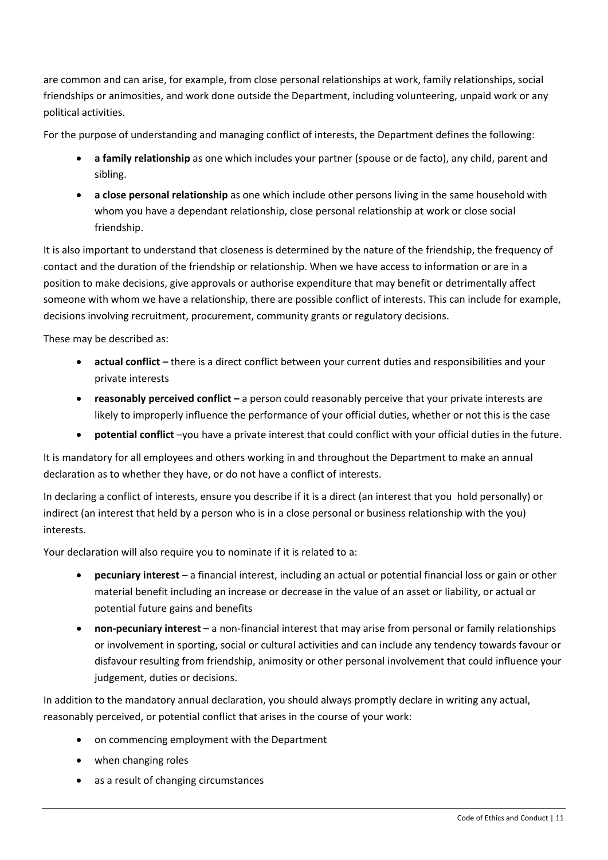are common and can arise, for example, from close personal relationships at work, family relationships, social friendships or animosities, and work done outside the Department, including volunteering, unpaid work or any political activities.

For the purpose of understanding and managing conflict of interests, the Department defines the following:

- **a family relationship** as one which includes your partner (spouse or de facto), any child, parent and sibling.
- **a close personal relationship** as one which include other persons living in the same household with whom you have a dependant relationship, close personal relationship at work or close social friendship.

It is also important to understand that closeness is determined by the nature of the friendship, the frequency of contact and the duration of the friendship or relationship. When we have access to information or are in a position to make decisions, give approvals or authorise expenditure that may benefit or detrimentally affect someone with whom we have a relationship, there are possible conflict of interests. This can include for example, decisions involving recruitment, procurement, community grants or regulatory decisions.

These may be described as:

- **actual conflict –** there is a direct conflict between your current duties and responsibilities and your private interests
- **reasonably perceived conflict –** a person could reasonably perceive that your private interests are likely to improperly influence the performance of your official duties, whether or not this is the case
- **potential conflict** –you have a private interest that could conflict with your official duties in the future.

It is mandatory for all employees and others working in and throughout the Department to make an annual declaration as to whether they have, or do not have a conflict of interests.

In declaring a conflict of interests, ensure you describe if it is a direct (an interest that you hold personally) or indirect (an interest that held by a person who is in a close personal or business relationship with the you) interests.

Your declaration will also require you to nominate if it is related to a:

- **pecuniary interest** a financial interest, including an actual or potential financial loss or gain or other material benefit including an increase or decrease in the value of an asset or liability, or actual or potential future gains and benefits
- **non-pecuniary interest**  a non-financial interest that may arise from personal or family relationships or involvement in sporting, social or cultural activities and can include any tendency towards favour or disfavour resulting from friendship, animosity or other personal involvement that could influence your judgement, duties or decisions.

In addition to the mandatory annual declaration, you should always promptly declare in writing any actual, reasonably perceived, or potential conflict that arises in the course of your work:

- on commencing employment with the Department
- when changing roles
- as a result of changing circumstances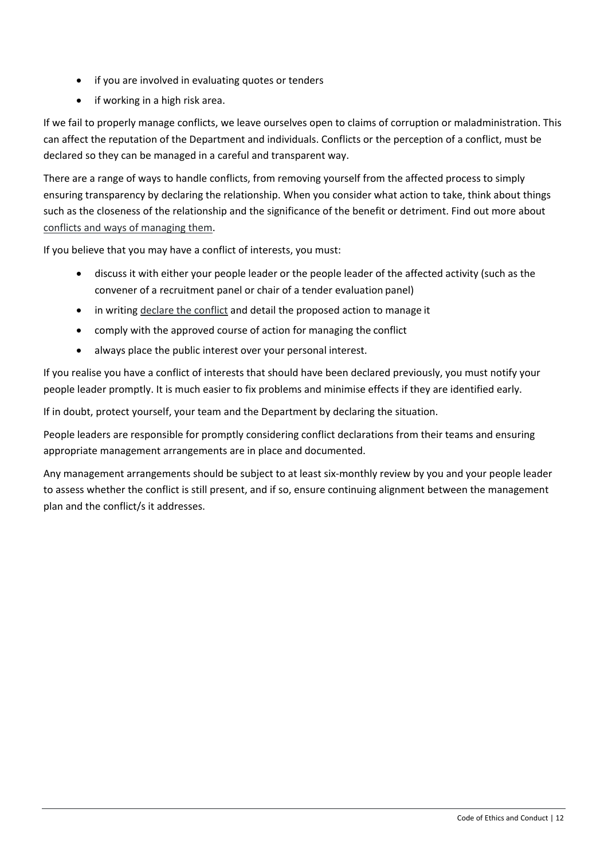- if you are involved in evaluating quotes or tenders
- if working in a high risk area.

If we fail to properly manage conflicts, we leave ourselves open to claims of corruption or maladministration. This can affect the reputation of the Department and individuals. Conflicts or the perception of a conflict, must be declared so they can be managed in a careful and transparent way.

There are a range of ways to handle conflicts, from removing yourself from the affected process to simply ensuring transparency by declaring the relationship. When you consider what action to take, think about things such as the closeness of the relationship and the significance of the benefit or detriment. Find out more about [conflicts and ways of managing them.](https://intranet.dpie.nsw.gov.au/ethics-conduct/standards-of-conduct/conflicts-of-interest)

If you believe that you may have a conflict of interests, you must:

- discuss it with either your people leader or the people leader of the affected activity (such as the convener of a recruitment panel or chair of a tender evaluation panel)
- in writing [declare the](https://intranet.dpie.nsw.gov.au/ethics-conduct/standards-of-conduct/conflicts-of-interest) conflict and detail the proposed action to manage it
- comply with the approved course of action for managing the conflict
- always place the public interest over your personal interest.

If you realise you have a conflict of interests that should have been declared previously, you must notify your people leader promptly. It is much easier to fix problems and minimise effects if they are identified early.

If in doubt, protect yourself, your team and the Department by declaring the situation.

People leaders are responsible for promptly considering conflict declarations from their teams and ensuring appropriate management arrangements are in place and documented.

Any management arrangements should be subject to at least six-monthly review by you and your people leader to assess whether the conflict is still present, and if so, ensure continuing alignment between the management plan and the conflict/s it addresses.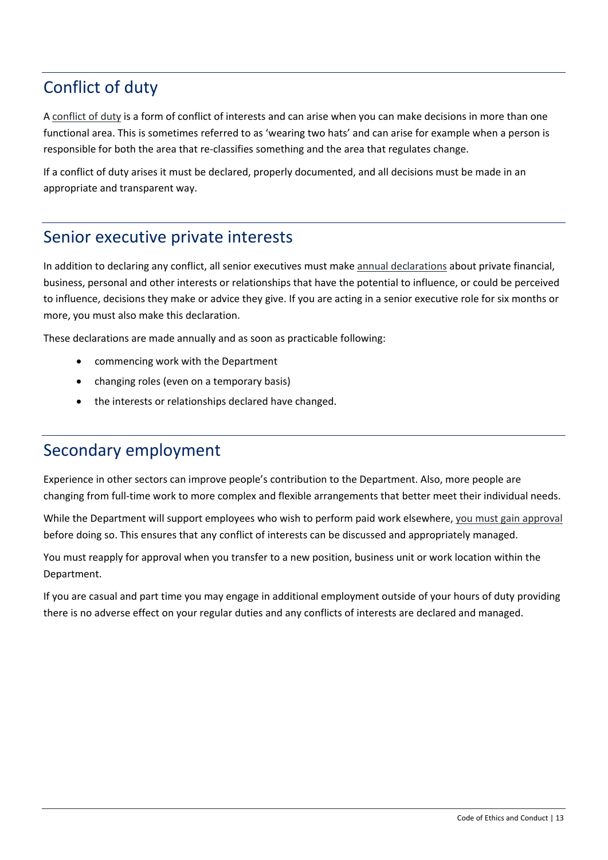# <span id="page-12-0"></span>Conflict of duty

A [conflict of duty](https://intranet.dpie.nsw.gov.au/ethics-conduct/standards-of-conduct/conflicts-of-duty) is a form of conflict of interests and can arise when you can make decisions in more than one functional area. This is sometimes referred to as 'wearing two hats' and can arise for example when a person is responsible for both the area that re-classifies something and the area that regulates change.

If a conflict of duty arises it must be declared, properly documented, and all decisions must be made in an appropriate and transparent way.

### <span id="page-12-1"></span>Senior executive private interests

In addition to declaring any conflict, all senior executives must make [annual declarations](https://intranet.dpie.nsw.gov.au/ethics-conduct/standards-of-conduct/senior-executive-private-interests) about private financial, business, personal and other interests or relationships that have the potential to influence, or could be perceived to influence, decisions they make or advice they give. If you are acting in a senior executive role for six months or more, you must also make this declaration.

These declarations are made annually and as soon as practicable following:

- commencing work with the Department
- changing roles (even on a temporary basis)
- the interests or relationships declared have changed.

### <span id="page-12-2"></span>Secondary employment

Experience in other sectors can improve people's contribution to the Department. Also, more people are changing from full-time work to more complex and flexible arrangements that better meet their individual needs.

While the Department will support employees who wish to perform paid work elsewhere, [you must gain approval](https://intranet.dpie.nsw.gov.au/ethics-conduct/standards-of-conduct/employment-outside-the-department) before doing so. This ensures that any conflict of interests can be discussed and appropriately managed.

You must reapply for approval when you transfer to a new position, business unit or work location within the Department.

If you are casual and part time you may engage in additional employment outside of your hours of duty providing there is no adverse effect on your regular duties and any conflicts of interests are declared and managed.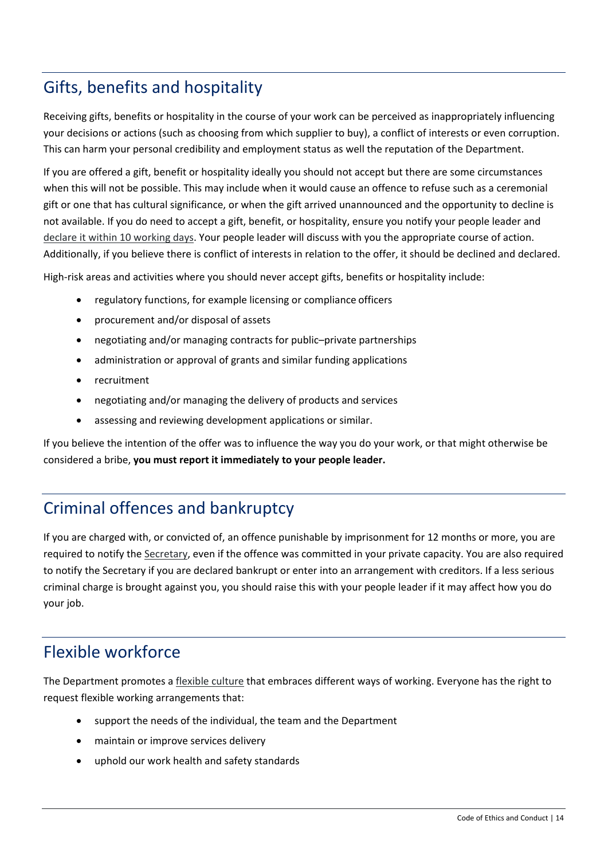# <span id="page-13-0"></span>Gifts, benefits and hospitality

Receiving gifts, benefits or hospitality in the course of your work can be perceived as inappropriately influencing your decisions or actions (such as choosing from which supplier to buy), a conflict of interests or even corruption. This can harm your personal credibility and employment status as well the reputation of the Department.

If you are offered a gift, benefit or hospitality ideally you should not accept but there are some circumstances when this will not be possible. This may include when it would cause an offence to refuse such as a ceremonial gift or one that has cultural significance, or when the gift arrived unannounced and the opportunity to decline is not available. If you do need to accept a gift, benefit, or hospitality, ensure you notify your people leader and [declare it within 10 working days.](https://intranet.dpie.nsw.gov.au/ethics-conduct/standards-of-conduct/gifts,-benefits-and-hospitality) Your people leader will discuss with you the appropriate course of action. Additionally, if you believe there is conflict of interests in relation to the offer, it should be declined and declared.

High-risk areas and activities where you should never accept gifts, benefits or hospitality include:

- regulatory functions, for example licensing or compliance officers
- procurement and/or disposal of assets
- negotiating and/or managing contracts for public–private partnerships
- administration or approval of grants and similar funding applications
- recruitment
- negotiating and/or managing the delivery of products and services
- assessing and reviewing development applications or similar.

If you believe the intention of the offer was to influence the way you do your work, or that might otherwise be considered a bribe, **you must report it immediately to your people leader.**

## <span id="page-13-1"></span>Criminal offences and bankruptcy

If you are charged with, or convicted of, an offence punishable by imprisonment for 12 months or more, you are required to notify the [Secretary,](mailto:michael.cassel@dpie.nsw.gov.au) even if the offence was committed in your private capacity. You are also required to notify the Secretary if you are declared bankrupt or enter into an arrangement with creditors. If a less serious criminal charge is brought against you, you should raise this with your people leader if it may affect how you do your job.

## <span id="page-13-2"></span>Flexible workforce

The Department promotes a [flexible culture](https://intranet.dpie.nsw.gov.au/working-at-dpie/flexible-working-at-dpie2) that embraces different ways of working. Everyone has the right to request flexible working arrangements that:

- support the needs of the individual, the team and the Department
- maintain or improve services delivery
- uphold our work health and safety standards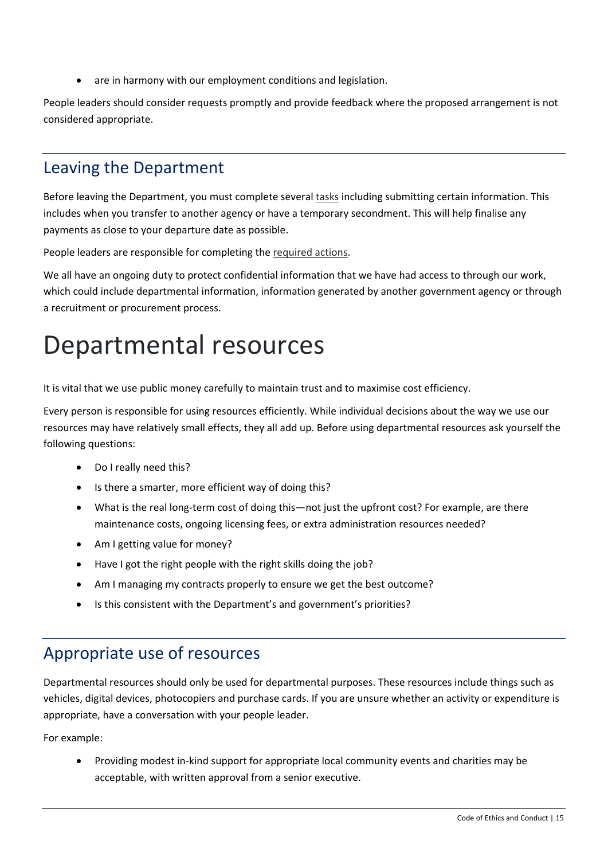are in harmony with our employment conditions and legislation.

People leaders should consider requests promptly and provide feedback where the proposed arrangement is not considered appropriate.

### <span id="page-14-0"></span>Leaving the Department

Before leaving the Department, you must complete several [tasks](https://intranet.dpie.nsw.gov.au/industry/employment/leaving-the-organisation) including submitting certain information. This includes when you transfer to another agency or have a temporary secondment. This will help finalise any payments as close to your departure date as possible.

People leaders are responsible for completing the [required actions.](https://intranet.dpie.nsw.gov.au/industry/employment/leaving-the-organisation)

We all have an ongoing duty to protect confidential information that we have had access to through our work, which could include departmental information, information generated by another government agency or through a recruitment or procurement process.

# <span id="page-14-1"></span>Departmental resources

It is vital that we use public money carefully to maintain trust and to maximise cost efficiency.

Every person is responsible for using resources efficiently. While individual decisions about the way we use our resources may have relatively small effects, they all add up. Before using departmental resources ask yourself the following questions:

- Do I really need this?
- Is there a smarter, more efficient way of doing this?
- What is the real long-term cost of doing this—not just the upfront cost? For example, are there maintenance costs, ongoing licensing fees, or extra administration resources needed?
- Am I getting value for money?
- Have I got the right people with the right skills doing the job?
- Am I managing my contracts properly to ensure we get the best outcome?
- Is this consistent with the Department's and government's priorities?

### <span id="page-14-2"></span>Appropriate use of resources

Departmental resources should only be used for departmental purposes. These resources include things such as vehicles, digital devices, photocopiers and purchase cards. If you are unsure whether an activity or expenditure is appropriate, have a conversation with your people leader.

For example:

• Providing modest in-kind support for appropriate local community events and charities may be acceptable, with written approval from a senior executive.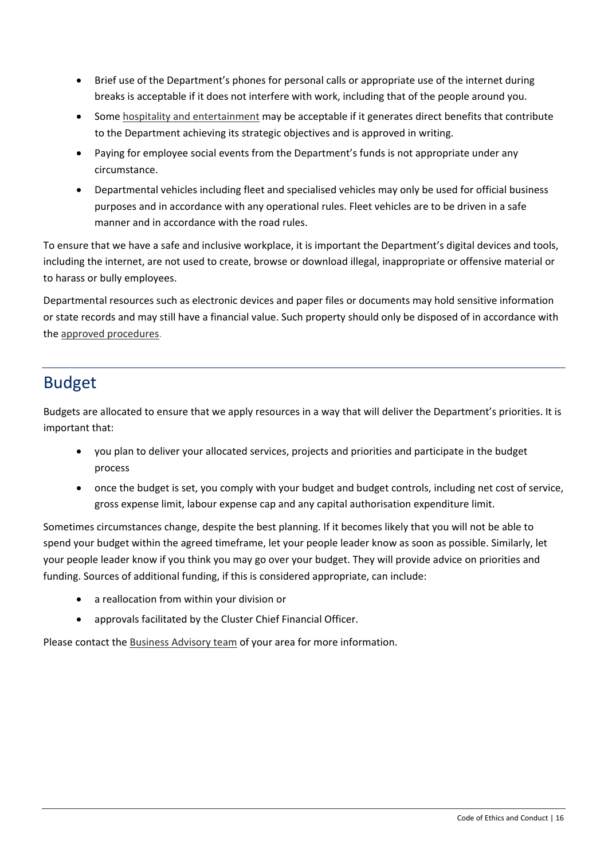- Brief use of the Department's phones for personal calls or appropriate use of the internet during breaks is acceptable if it does not interfere with work, including that of the people around you.
- Some [hospitality and entertainment](https://intranet.dpie.nsw.gov.au/ethics-conduct/standards-of-conduct/gifts,-benefits-and-hospitality) may be acceptable if it generates direct benefits that contribute to the Department achieving its strategic objectives and is approved in writing.
- Paying for employee social events from the Department's funds is not appropriate under any circumstance.
- Departmental vehicles including fleet and specialised vehicles may only be used for official business purposes and in accordance with any operational rules. Fleet vehicles are to be driven in a safe manner and in accordance with the road rules.

To ensure that we have a safe and inclusive workplace, it is important the Department's digital devices and tools, including the internet, are not used to create, browse or download illegal, inappropriate or offensive material or to harass or bully employees.

Departmental resources such as electronic devices and paper files or documents may hold sensitive information or state records and may still have a financial value. Such property should only be disposed of in accordance with the [approved procedures.](https://intranet.dpie.nsw.gov.au/ethics-conduct/managing-information/records-management)

# <span id="page-15-0"></span>Budget

Budgets are allocated to ensure that we apply resources in a way that will deliver the Department's priorities. It is important that:

- you plan to deliver your allocated services, projects and priorities and participate in the budget process
- once the budget is set, you comply with your budget and budget controls, including net cost of service, gross expense limit, labour expense cap and any capital authorisation expenditure limit.

Sometimes circumstances change, despite the best planning. If it becomes likely that you will not be able to spend your budget within the agreed timeframe, let your people leader know as soon as possible. Similarly, let your people leader know if you think you may go over your budget. They will provide advice on priorities and funding. Sources of additional funding, if this is considered appropriate, can include:

- a reallocation from within your division or
- approvals facilitated by the Cluster Chief Financial Officer.

Please contact the [Business Advisory team](https://intranet.dpie.nsw.gov.au/industry/finance/financial-management/business-advisory-teams) of your area for more information.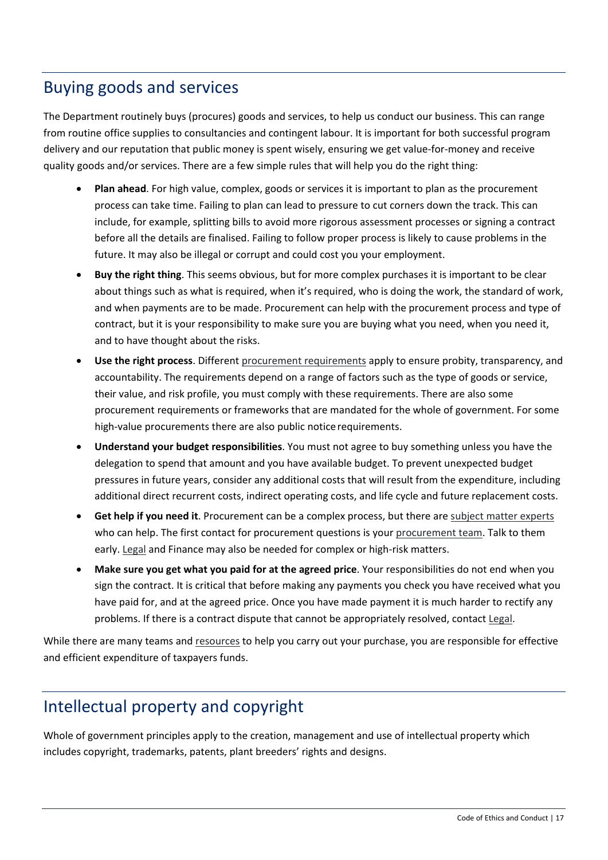### <span id="page-16-0"></span>Buying goods and services

The Department routinely buys (procures) goods and services, to help us conduct our business. This can range from routine office supplies to consultancies and contingent labour. It is important for both successful program delivery and our reputation that public money is spent wisely, ensuring we get value-for-money and receive quality goods and/or services. There are a few simple rules that will help you do the right thing:

- **Plan ahead**. For high value, complex, goods or services it is important to plan as the procurement process can take time. Failing to plan can lead to pressure to cut corners down the track. This can include, for example, splitting bills to avoid more rigorous assessment processes or signing a contract before all the details are finalised. Failing to follow proper process is likely to cause problems in the future. It may also be illegal or corrupt and could cost you your employment.
- **Buy the right thing**. This seems obvious, but for more complex purchases it is important to be clear about things such as what is required, when it's required, who is doing the work, the standard of work, and when payments are to be made. Procurement [c](mailto:legal.admin@planning.nsw.gov.au)an help with the procurement process and type of contract, but it is your responsibility to make sure you are buying what you need, when you need it, and to have thought about the risks.
- **Use the right process**. Different [procurement requirements](https://intranet.dpie.nsw.gov.au/industry/finance/procurement) apply to ensure probity, transparency, and accountability. The requirements depend on a range of factors such as the type of goods or service, their value, and risk profile, you must comply with these requirements. There are also some procurement requirements or frameworks that are mandated for the whole of government. For some high-value procurements there are also public notice requirements.
- **Understand your budget responsibilities**. You must not agree to buy something unless you have the delegation to spend that amount and you have available budget. To prevent unexpected budget pressures in future years, consider any additional costs that will result from the expenditure, including additional direct recurrent costs, indirect operating costs, and life cycle and future replacement costs.
- **Get help if you need it**. Procurement can be a complex process, but there ar[e subject matter experts](https://intranet.dpie.nsw.gov.au/ethics-conduct/our-subject-experts) who can help. The first contact for procurement questions is your [procurement](https://intranet.dpie.nsw.gov.au/industry/finance/procurement) team. Talk to them early. [Legal](mailto:legal.admin@planning.nsw.gov.au) and Finance may also be needed for complex or high-risk matters.
- **Make sure you get what you paid for at the agreed price**. Your responsibilities do not end when you sign the contract. It is critical that before making any payments you check you have received what you have paid for, and at the agreed price. Once you have made payment it is much harder to rectify any problems. If there is a contract dispute that cannot be appropriately resolved, contact [Legal.](mailto:legal.admin@planning.nsw.gov.au)

While there are many teams an[d resources](https://intranet.dpie.nsw.gov.au/industry/finance/procurement) to help you carry out your purchase, you are responsible for effective and efficient expenditure of taxpayers funds.

## <span id="page-16-1"></span>Intellectual property and copyright

Whole of government principles apply to the creation, management and use of intellectual property which includes copyright, trademarks, patents, plant breeders' rights and designs.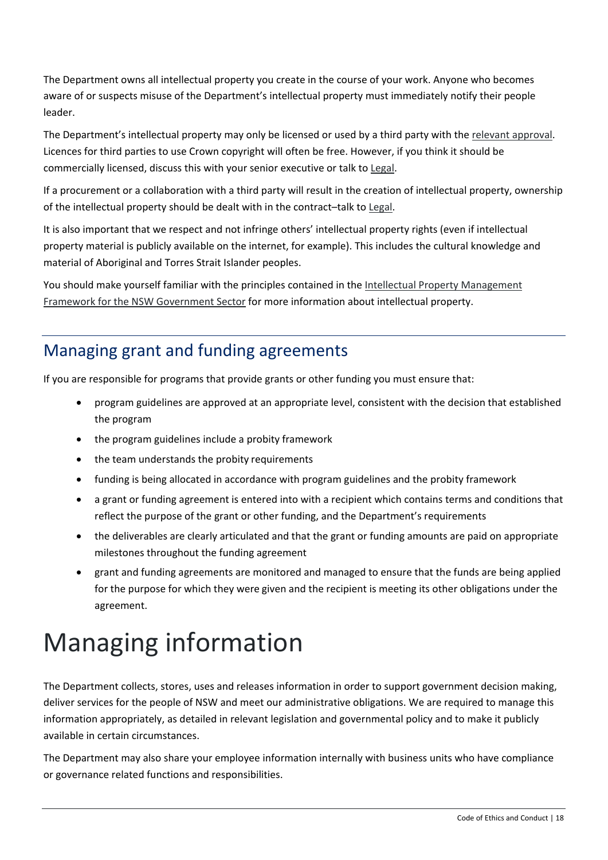The Department owns all intellectual property you create in the course of your work. Anyone who becomes aware of or suspects misuse of the Department's intellectual property must immediately notify their people leader.

The Department's intellectual property may only be licensed or used by a third party with the [relevant approval.](mailto::legal.admin@planning.nsw.gov.au) Licences for third parties to use Crown copyright will often be free. However, if you think it should be commercially licensed, discuss this with your senior executive or talk to [Legal.](mailto::legal.admin@planning.nsw.gov.au)

If a procurement or a collaboration with a third party will result in the creation of intellectual property, ownership of the intellectual property should be dealt with in the contract–talk to [Legal.](mailto::legal.admin@planning.nsw.gov.au)

It is also important that we respect and not infringe others' intellectual property rights (even if intellectual property material is publicly available on the internet, for example). This includes the cultural knowledge and material of Aboriginal and Torres Strait Islander peoples.

You should make yourself familiar with the principles contained in the [Intellectual Property Management](https://arp.nsw.gov.au/c2005-06-intellectual-property-management-framework-nsw-public-sector)  [Framework for the NSW Government Sector](https://arp.nsw.gov.au/c2005-06-intellectual-property-management-framework-nsw-public-sector) for more information about intellectual property.

# <span id="page-17-0"></span>Managing grant and funding agreements

If you are responsible for programs that provide grants or other funding you must ensure that:

- program guidelines are approved at an appropriate level, consistent with the decision that established the program
- the program guidelines include a probity framework
- the team understands the probity requirements
- funding is being allocated in accordance with program guidelines and the probity framework
- a grant or funding agreement is entered into with a recipient which contains terms and conditions that reflect the purpose of the grant or other funding, and the Department's requirements
- the deliverables are clearly articulated and that the grant or funding amounts are paid on appropriate milestones throughout the funding agreement
- grant and funding agreements are monitored and managed to ensure that the funds are being applied for the purpose for which they were given and the recipient is meeting its other obligations under the agreement.

# <span id="page-17-1"></span>Managing information

The Department collects, stores, uses and releases information in order to support government decision making, deliver services for the people of NSW and meet our administrative obligations. We are required to manage this information appropriately, as detailed in relevant legislation and governmental policy and to make it publicly available in certain circumstances.

The Department may also share your employee information internally with business units who have compliance or governance related functions and responsibilities.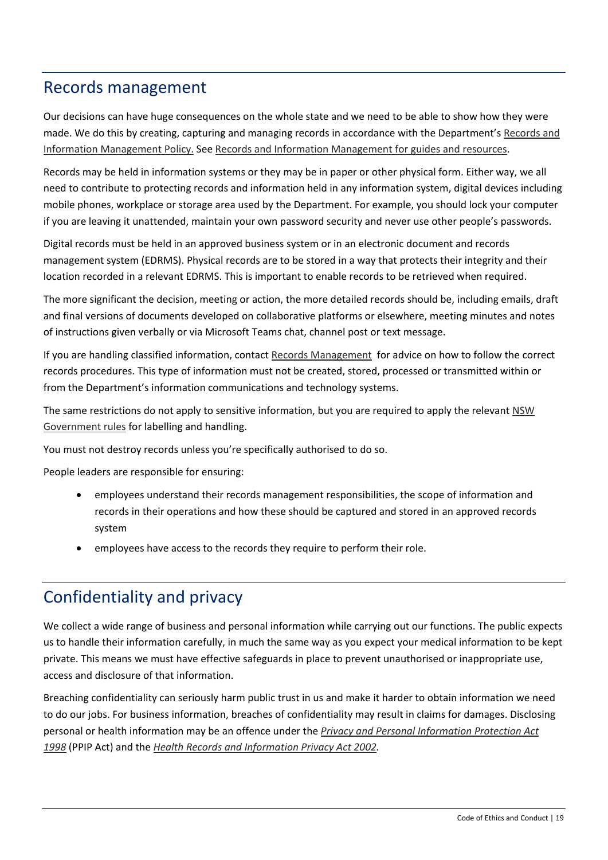#### <span id="page-18-0"></span>Records management

Our decisions can have huge consequences on the whole state and we need to be able to show how they were made. We do this by creating, capturing and managing records in accordance with the Department's [Records and](https://intranet.dpie.nsw.gov.au/ethics-conduct/making-good-decisions/policy/corporate-policies/Records-and-Information-Management-Policy.pdf) [Information Management Policy.](https://intranet.dpie.nsw.gov.au/ethics-conduct/making-good-decisions/policy/corporate-policies/Records-and-Information-Management-Policy.pdf) See [Records and Information Management for guides and resources.](https://intranet.dpie.nsw.gov.au/industry/support-and-services/dsg-support/records-and-information-management)

Records may be held in information systems or they may be in paper or other physical form. Either way, we all need to contribute to protecting records and information held in any information system, digital devices including mobile phones, workplace or storage area used by the Department. For example, you should lock your computer if you are leaving it unattended, maintain your own password security and never use other people's passwords.

Digital records must be held in an approved business system or in an electronic document and records management system (EDRMS). Physical records are to be stored in a way that protects their integrity and their location recorded in a relevant EDRMS. This is important to enable records to be retrieved when required.

The more significant the decision, meeting or action, the more detailed records should be, including emails, draft and final versions of documents developed on collaborative platforms or elsewhere, meeting minutes and notes of instructions given verbally or via Microsoft Teams chat, channel post or text message.

If you are handling classified information, contact [Records Management](https://csconnect.dpie.nsw.gov.au/csconnect) for advice on how to follow the correct records procedures. This type of information must not be created, stored, processed or transmitted within or from the Department's information communications and technology systems.

The same restrictions do not apply to sensitive information, but you are required to apply the relevant NSW [Government rules](https://www.digital.nsw.gov.au/policy/managing-data-information/information-classification-labelling-and-handling-guidelines) for labelling and handling.

You must not destroy records unless you're specifically authorised to do so.

People leaders are responsible for ensuring:

- employees understand their records management responsibilities, the scope of information and records in their operations and how these should be captured and stored in an approved records system
- employees have access to the records they require to perform their role.

## <span id="page-18-1"></span>Confidentiality and privacy

We collect a wide range of business and personal information while carrying out our functions. The public expects us to handle their information carefully, in much the same way as you expect your medical information to be kept private. This means we must have effective safeguards in place to prevent unauthorised or inappropriate use, access and disclosure of that information.

Breaching confidentiality can seriously harm public trust in us and make it harder to obtain information we need to do our jobs. For business information, breaches of confidentiality may result in claims for damages. Disclosing personal or health information may be an offence under the *[Privacy and Personal Information Protection Act](https://legislation.nsw.gov.au/view/html/inforce/current/act-1998-133)  [1998](https://legislation.nsw.gov.au/view/html/inforce/current/act-1998-133)* (PPIP Act) and the *[Health Records and Information Privacy Act 2002.](https://legislation.nsw.gov.au/view/html/inforce/current/act-2002-071)*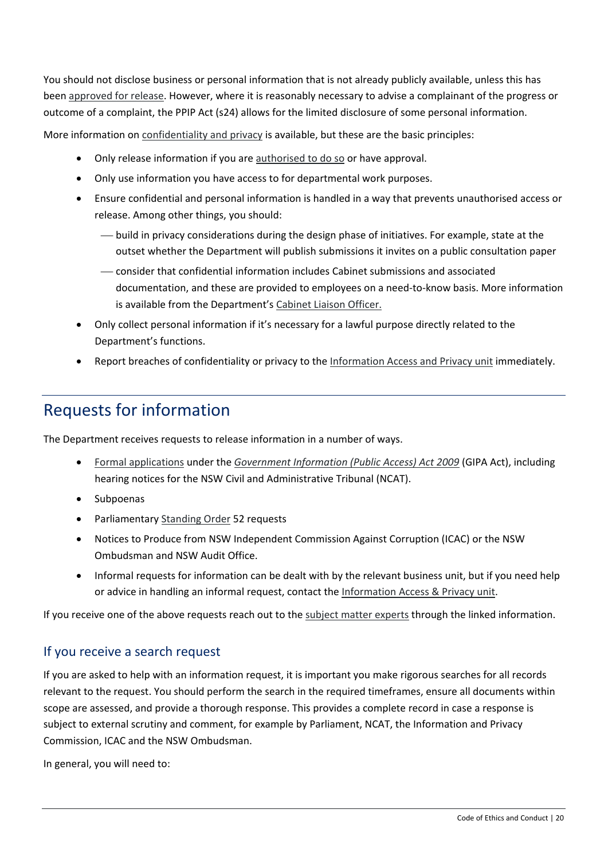You should not disclose business or personal information that is not already publicly available, unless this has been [approved for release.](mailto:gipa@dpie.nsw.gov.au) However, where it is reasonably necessary to advise a complainant of the progress or outcome of a complaint, the PPIP Act (s24) allows for the limited disclosure of some personal information.

More information on [confidentiality and privacy](https://intranet.dpie.nsw.gov.au/ethics-conduct/managing-information/confidentiality-and-privacy) is available, but these are the basic principles:

- Only release information if you ar[e authorised to do so](mailto:gipa@dpie.nsw.gov.au) or have approval.
- Only use information you have access to for departmental work purposes.
- Ensure confidential and personal information is handled in a way that prevents unauthorised access or release. Among other things, you should:
	- build in privacy considerations during the design phase of initiatives. For example, state at the outset whether the Department will publish submissions it invites on a public consultation paper
	- consider that confidential information includes Cabinet submissions and associated documentation, and these are provided to employees on a need-to-know basis. More information is available from the Department'[s Cabinet Liaison Officer.](https://intranet.dpie.nsw.gov.au/industry/support-and-services/parliament-and-ministers/cabinet-support)
- Only collect personal information if it's necessary for a lawful purpose directly related to the Department's functions.
- Report breaches of confidentiality or privacy to the [Information Access and Privacy unit](mailto:privacy@dpie.nsw.gov.au) immediately.

## <span id="page-19-0"></span>Requests for information

The Department receives requests to release information in a number of ways.

- [Formal applications](https://intranet.dpie.nsw.gov.au/ethics-conduct/managing-information/information-access) under the *[Government Information \(Public Access\) Act 2009](https://legislation.nsw.gov.au/view/html/inforce/current/act-2009-052)* (GIPA Act), including hearing notices for the NSW Civil and Administrative Tribunal (NCAT).
- Subpoenas
- Parliamentary [Standing Order](https://intranet.dpie.nsw.gov.au/ethics-conduct/managing-information/standing-order-52) 52 requests
- Notices to Produce from NSW Independent Commission Against Corruption (ICAC) or the NSW Ombudsman and NSW Audit Office.
- Informal requests for information can be dealt with by the relevant business unit, but if you need help or advice in handling an informal request, contact the [Information Access & Privacy unit.](mailto:privacy@dpie.nsw.gov.au)

If you receive one of the above requests reach out to the [subject matter experts](https://intranet.dpie.nsw.gov.au/ethics-conduct/our-subject-experts) through the linked information.

#### If you receive a search request

If you are asked to help with an information request, it is important you make rigorous searches for all records relevant to the request. You should perform the search in the required timeframes, ensure all documents within scope are assessed, and provide a thorough response. This provides a complete record in case a response is subject to external scrutiny and comment, for example by Parliament, NCAT, the Information and Privacy Commission, ICAC and the NSW Ombudsman.

In general, you will need to: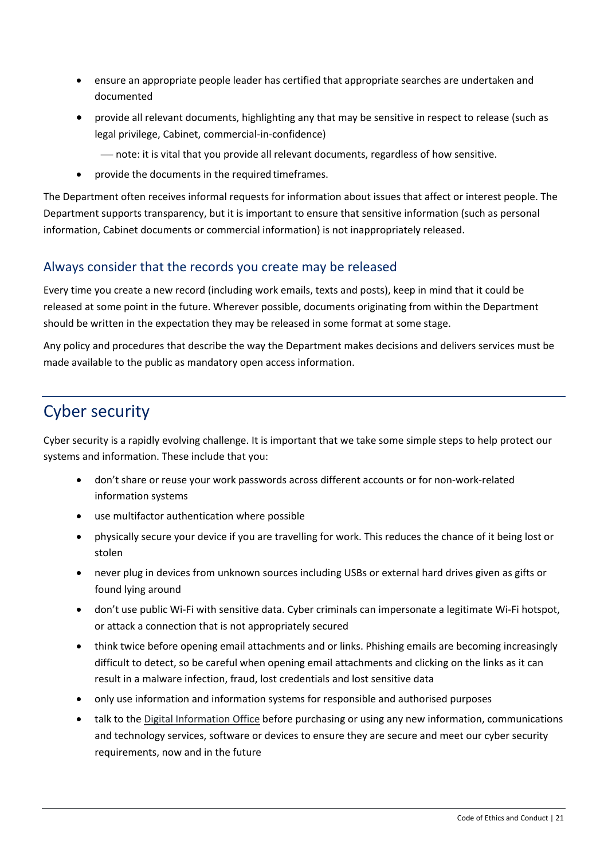- ensure an appropriate people leader has certified that appropriate searches are undertaken and documented
- provide all relevant documents, highlighting any that may be sensitive in respect to release (such as legal privilege, Cabinet, commercial-in-confidence)
	- note: it is vital that you provide all relevant documents, regardless of how sensitive.
- provide the documents in the required timeframes.

The Department often receives informal requests for information about issues that affect or interest people. The Department supports transparency, but it is important to ensure that sensitive information (such as personal information, Cabinet documents or commercial information) is not inappropriately released.

#### Always consider that the records you create may be released

Every time you create a new record (including work emails, texts and posts), keep in mind that it could be released at some point in the future. Wherever possible, documents originating from within the Department should be written in the expectation they may be released in some format at some stage.

Any policy and procedures that describe the way the Department makes decisions and delivers services must be made available to the public as mandatory open access information.

# <span id="page-20-0"></span>Cyber security

Cyber security is a rapidly evolving challenge. It is important that we take some simple steps to help protect our systems and information. These include that you:

- don't share or reuse your work passwords across different accounts or for non-work-related information systems
- use multifactor authentication where possible
- physically secure your device if you are travelling for work. This reduces the chance of it being lost or stolen
- never plug in devices from unknown sources including USBs or external hard drives given as gifts or found lying around
- don't use public Wi-Fi with sensitive data. Cyber criminals can impersonate a legitimate Wi-Fi hotspot, or attack a connection that is not appropriately secured
- think twice before opening email attachments and or links. Phishing emails are becoming increasingly difficult to detect, so be careful when opening email attachments and clicking on the links as it can result in a malware infection, fraud, lost credentials and lost sensitive data
- only use information and information systems for responsible and authorised purposes
- talk to the [Digital Information Office](https://intranet.dpie.nsw.gov.au/ethics-conduct/managing-information/cyber-security) before purchasing or using any new information, communications and technology services, software or devices to ensure they are secure and meet our cyber security requirements, now and in the future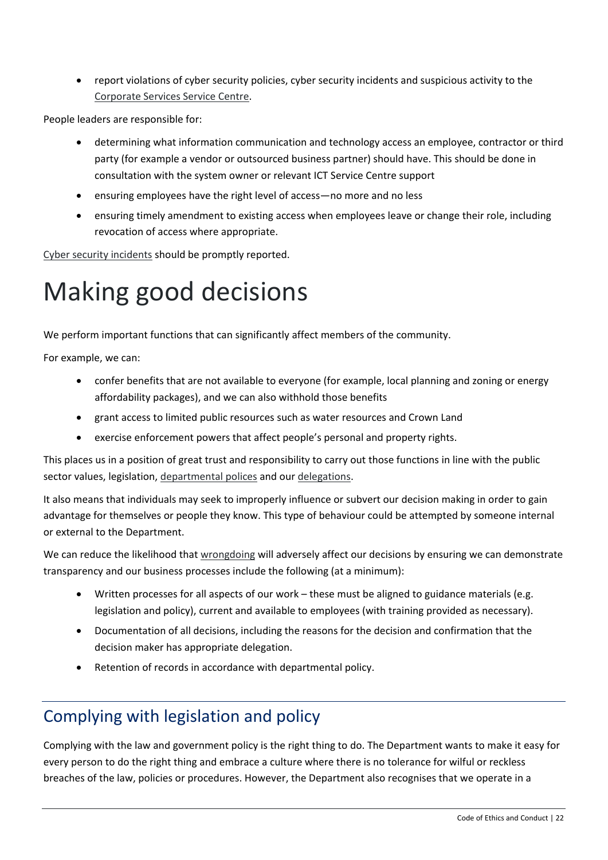• report violations of cyber security policies, cyber security incidents and suspicious activity to th[e](https://csconnect.dpie.nsw.gov.au/csconnect) [Corporate Services Service Centre.](https://csconnect.dpie.nsw.gov.au/csconnect)

People leaders are responsible for:

- determining what information communication and technology access an employee, contractor or third party (for example a vendor or outsourced business partner) should have. This should be done in consultation with the system owner or relevant ICT Service Centre support
- ensuring employees have the right level of access—no more and no less
- ensuring timely amendment to existing access when employees leave or change their role, including revocation of access where appropriate.

[Cyber security incidents](https://intranet.dpie.nsw.gov.au/ethics-conduct/managing-information/cyber-security) should be promptly reported.

# <span id="page-21-0"></span>Making good decisions

We perform important functions that can significantly affect members of the community.

For example, we can:

- confer benefits that are not available to everyone (for example, local planning and zoning or energy affordability packages), and we can also withhold those benefits
- grant access to limited public resources such as water resources and Crown Land
- exercise enforcement powers that affect people's personal and property rights.

This places us in a position of great trust and responsibility to carry out those functions in line with the public sector values, legislation, [departmental polices](https://intranet.dpie.nsw.gov.au/ethics-conduct/making-good-decisions/policy) and ou[r delegations.](https://intranet.dpie.nsw.gov.au/industry/code-of-ethics-and-conduct/governance-risk-and-compliance/delegations)

It also means that individuals may seek to improperly influence or subvert our decision making in order to gain advantage for themselves or people they know. This type of behaviour could be attempted by someone internal or external to the Department.

We can reduce the likelihood that [wrongdoing](https://intranet.dpie.nsw.gov.au/ethics-conduct/speaking-up/public-interest-disclosure-policy) will adversely affect our decisions by ensuring we can demonstrate transparency and our business processes include the following (at a minimum):

- Written processes for all aspects of our work these must be aligned to guidance materials (e.g. legislation and policy), current and available to employees (with training provided as necessary).
- Documentation of all decisions, including the reasons for the decision and confirmation that the decision maker has appropriate delegation.
- Retention of records in accordance with departmental policy.

## <span id="page-21-1"></span>Complying with legislation and policy

Complying with the law and government policy is the right thing to do. The Department wants to make it easy for every person to do the right thing and embrace a culture where there is no tolerance for wilful or reckless breaches of the law, policies or procedures. However, the Department also recognises that we operate in a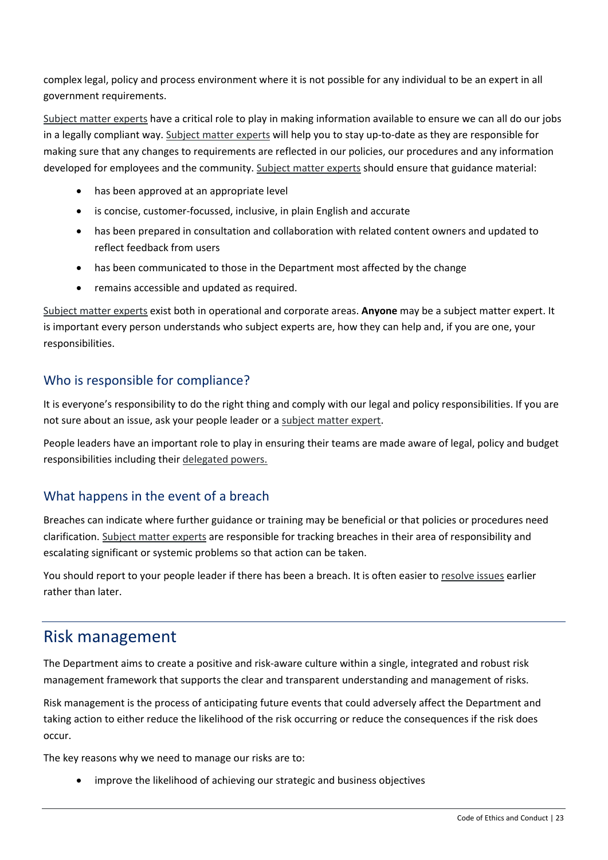complex legal, policy and process environment where it is not possible for any individual to be an expert in all government requirements.

[Subject matter experts](https://intranet.dpie.nsw.gov.au/ethics-conduct/our-subject-experts) have a critical role to play in making information available to ensure we can all do our jobs in a legally compliant way[. Subject matter experts](https://intranet.dpie.nsw.gov.au/ethics-conduct/our-subject-experts) will help you to stay up-to-date as they are responsible for making sure that any changes to requirements are reflected in our policies, our procedures and any information developed for employees and the community. [Subject matter experts](https://intranet.dpie.nsw.gov.au/ethics-conduct/our-subject-experts) should ensure that guidance material:

- has been approved at an appropriate level
- is concise, customer-focussed, inclusive, in plain English and accurate
- has been prepared in consultation and collaboration with related content owners and updated to reflect feedback from users
- has been communicated to those in the Department most affected by the change
- remains accessible and updated as required.

[Subject matter experts](https://intranet.dpie.nsw.gov.au/ethics-conduct/our-subject-experts) exist both in operational and corporate areas. **Anyone** may be a subject matter expert. It is important every person understands who subject experts are, how they can help and, if you are one, your responsibilities.

#### Who is responsible for compliance?

It is everyone's responsibility to do the right thing and comply with our legal and policy responsibilities. If you are not sure about an issue, ask your people leader or a [subject matter expert.](https://intranet.dpie.nsw.gov.au/ethics-conduct/our-subject-experts)

People leaders have an important role to play in ensuring their teams are made aware of legal, policy and budget responsibilities including their [delegated powers.](https://intranet.dpie.nsw.gov.au/ethics-conduct/making-good-decisions/delegations)

#### What happens in the event of a breach

Breaches can indicate where further guidance or training may be beneficial or that policies or procedures need clarification. [Subject matter experts](https://intranet.dpie.nsw.gov.au/ethics-conduct/our-subject-experts) are responsible for tracking breaches in their area of responsibility and escalating significant or systemic problems so that action can be taken.

You should report to your people leader if there has been a breach. It is often easier to [resolve issues](https://intranet.dpie.nsw.gov.au/your-services/human-resources/workplace-people-issues) earlier rather than later.

#### <span id="page-22-0"></span>Risk management

The Department aims to create a positive and risk-aware culture within a single, integrated and robust risk management framework that supports the clear and transparent understanding and management of risks.

Risk management is the process of anticipating future events that could adversely affect the Department and taking action to either reduce the likelihood of the risk occurring or reduce the consequences if the risk does occur.

The key reasons why we need to manage our risks are to:

improve the likelihood of achieving our strategic and business objectives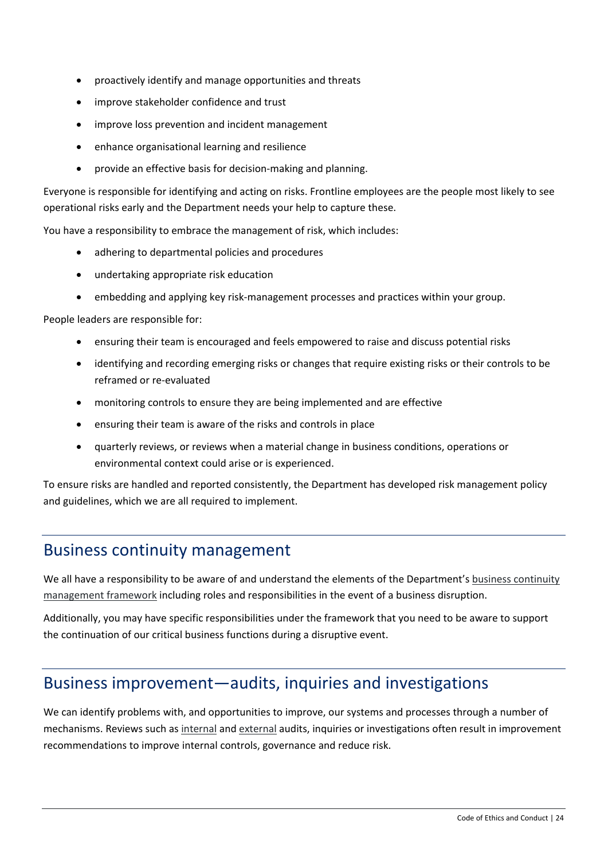- proactively identify and manage opportunities and threats
- improve stakeholder confidence and trust
- improve loss prevention and incident management
- enhance organisational learning and resilience
- provide an effective basis for decision-making and planning.

Everyone is responsible for identifying and acting on risks. Frontline employees are the people most likely to see operational risks early and the Department needs your help to capture these.

You have a responsibility to embrace the management of risk, which includes:

- adhering to departmental policies and procedures
- undertaking appropriate risk education
- embedding and applying key risk-management processes and practices within your group.

People leaders are responsible for:

- ensuring their team is encouraged and feels empowered to raise and discuss potential risks
- identifying and recording emerging risks or changes that require existing risks or their controls to be reframed or re-evaluated
- monitoring controls to ensure they are being implemented and are effective
- ensuring their team is aware of the risks and controls in place
- quarterly reviews, or reviews when a material change in business conditions, operations or environmental context could arise or is experienced.

To ensure risks are handled and reported consistently, the Department has develope[d risk management policy](https://intranet.dpie.nsw.gov.au/ethics-conduct/making-good-decisions/risk-management)  [and guidelines,](https://intranet.dpie.nsw.gov.au/ethics-conduct/making-good-decisions/risk-management) which we are all required to implement.

#### <span id="page-23-0"></span>Business continuity management

We all have a responsibility to be aware of and understand the elements of the Department's business continuity [management framework](https://intranet.dpie.nsw.gov.au/ethics-conduct/making-good-decisions/risk-management) including roles and responsibilities in the event of a business disruption.

Additionally, you may have specific responsibilities under the framework that you need to be aware to support the continuation of our critical business functions during a disruptive event.

#### <span id="page-23-1"></span>Business improvement—audits, inquiries and investigations

We can identify problems with, and opportunities to improve, our systems and processes through a number of mechanisms. Reviews such a[s internal](https://intranet.dpie.nsw.gov.au/industry/support-and-services/Legal-and-Governance/Governance/audit/internal-audit) and [external](https://intranet.dpie.nsw.gov.au/industry/support-and-services/Legal-and-Governance/Governance/audit/external-audit) audits, inquiries or investigations often result in improvement recommendations to improve internal controls, governance and reduce risk.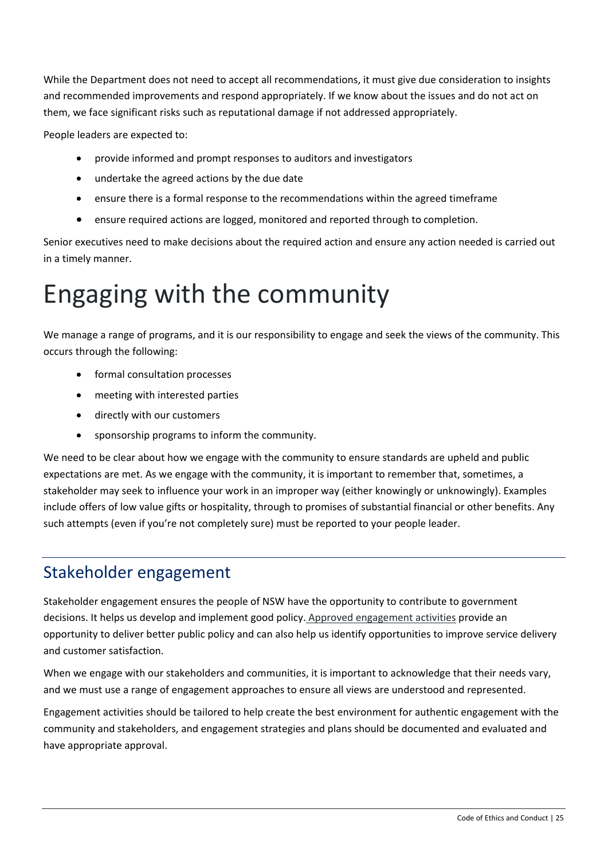While the Department does not need to accept all recommendations, it must give due consideration to insights and recommended improvements and respond appropriately. If we know about the issues and do not act on them, we face significant risks such as reputational damage if not addressed appropriately.

People leaders are expected to:

- provide informed and prompt responses to auditors and investigators
- undertake the agreed actions by the due date
- ensure there is a formal response to the recommendations within the agreed timeframe
- ensure required actions are logged, monitored and reported through to completion.

Senior executives need to make decisions about the required action and ensure any action needed is carried out in a timely manner.

# <span id="page-24-0"></span>Engaging with the community

We manage a range of programs, and it is our responsibility to engage and seek the views of the community. This occurs through the following:

- formal consultation processes
- meeting with interested parties
- directly with our customers
- sponsorship programs to inform the community.

We need to be clear about how we engage with the community to ensure standards are upheld and public expectations are met. As we engage with the community, it is important to remember that, sometimes, a stakeholder may seek to influence your work in an improper way (either knowingly or unknowingly). Examples include offers of low value gifts or hospitality, through to promises of substantial financial or other benefits. Any such attempts (even if you're not completely sure) must be reported to your people leader.

## <span id="page-24-1"></span>Stakeholder engagement

Stakeholder engagement ensures the people of NSW have the opportunity to contribute to government decisions. It helps us develop and implement good policy. [Approved engagement activities](mailto:legal.admin@planning.nsw.gov.au) provide an opportunity to deliver better public policy and can also help us identify opportunities to improve service delivery and customer satisfaction.

When we engage with our stakeholders and communities, it is important to acknowledge that their needs vary, and we must use a range of engagement approaches to ensure all views are understood and represented.

Engagement activities should be tailored to help create the best environment for authentic engagement with the community and stakeholders, and engagement strategies and plans should be documented and evaluated and have appropriate approval.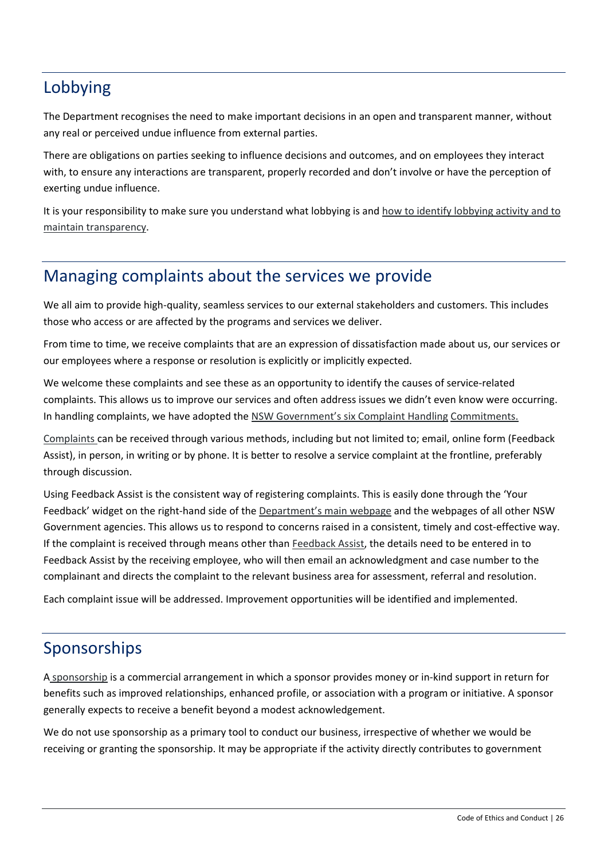## <span id="page-25-0"></span>Lobbying

The Department recognises the need to make important decisions in an open and transparent manner, without any real or perceived undue influence from external parties.

There are obligations on parties seeking to influence decisions and outcomes, and on employees they interact with, to ensure any interactions are transparent, properly recorded and don't involve or have the perception of exerting undue influence.

It is your responsibility to make sure you understand what lobbying is and [how to identify lobbying activity and to](https://intranet.dpie.nsw.gov.au/ethics-conduct/engaging-with-the-public/lobbyists-and-business-contacts)  [maintain transparency.](https://intranet.dpie.nsw.gov.au/ethics-conduct/engaging-with-the-public/lobbyists-and-business-contacts)

### <span id="page-25-1"></span>Managing complaints about the services we provide

We all aim to provide high-quality, seamless services to our external stakeholders and customers. This includes those who access or are affected by the programs and services we deliver.

From time to time, we receive complaints that are an expression of dissatisfaction made about us, our services or our employees where a response or resolution is explicitly or implicitly expected.

We welcome these complaints and see these as an opportunity to identify the causes of service-related complaints. This allows us to improve our services and often address issues we didn't even know were occurring. In handling complaints, we have adopted the [NSW Government's six Complaint Handling](https://www.ombo.nsw.gov.au/news-and-publications/publications/fact-sheets/state-and-local-government/applying-the-commitments-information) [Commitments.](https://www.ombo.nsw.gov.au/__data/assets/pdf_file/0005/46580/Applying-the-Commitments-to-effective-complaint-handling-guidance-for-agencies.pdf)

[Complaints c](https://intranet.dpie.nsw.gov.au/ethics-conduct/engaging-with-the-public/complaints-handling-process%2C-guidelines-and-templates)an be received through various methods, including but not limited to; email, online form (Feedback Assist), in person, in writing or by phone. It is better to resolve a service complaint at the frontline, preferably through discussion.

Using Feedback Assist is the consistent way of registering complaints. This is easily done through the 'Your Feedback' widget on the right-hand side of the [Department's main webpage](https://dpie.nsw.gov.au/) and the webpages of all other NSW Government agencies. This allows us to respond to concerns raised in a consistent, timely and cost-effective way. If the complaint is received through means other than [Feedback Assist,](https://intranet.dpie.nsw.gov.au/ethics-conduct/engaging-with-the-public/complaints-handling-process%2C-guidelines-and-templates) the details need to be entered in to Feedback Assist by the receiving employee, who will then email an acknowledgment and case number to the complainant and directs the complaint to the relevant business area for assessment, referral and resolution.

<span id="page-25-2"></span>Each complaint issue will be addressed. Improvement opportunities will be identified and implemented.

# Sponsorships

A [sponsorship](https://intranet.dpie.nsw.gov.au/your-services/communications/sponsorship) is a commercial arrangement in which a sponsor provides money or in-kind support in return for benefits such as improved relationships, enhanced profile, or association with a program or initiative. A sponsor generally expects to receive a benefit beyond a modest acknowledgement.

We do not use sponsorship as a primary tool to conduct our business, irrespective of whether we would be receiving or granting the sponsorship. It may be appropriate if the activity directly contributes to government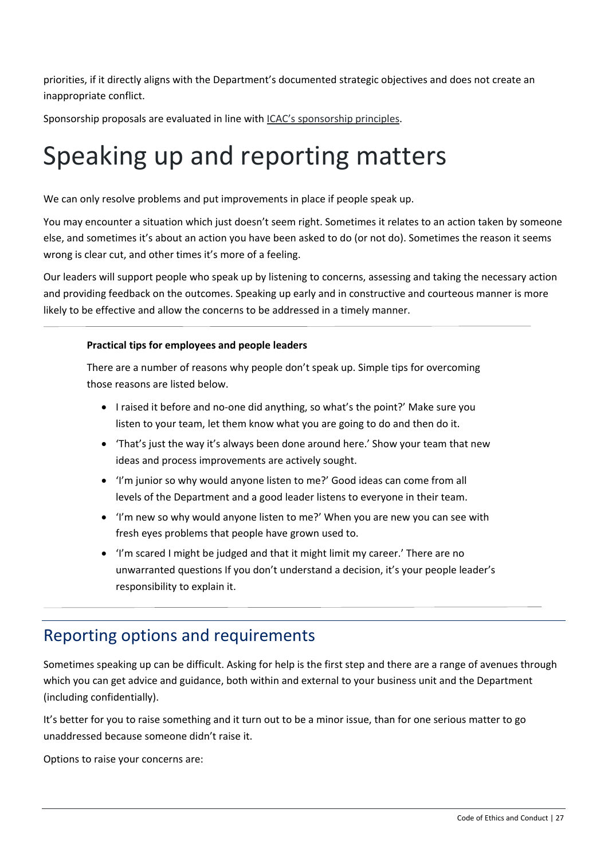priorities, if it directly aligns with the Department's documented strategic objectives and does not create an inappropriate conflict.

Sponsorship proposals are evaluated in line with [ICAC's sponsorship principles.](https://www.icac.nsw.gov.au/prevention/corruption-prevention-advice-topics/sponsorship)

# <span id="page-26-0"></span>Speaking up and reporting matters

We can only resolve problems and put improvements in place if people speak up.

You may encounter a situation which just doesn't seem right. Sometimes it relates to an action taken by someone else, and sometimes it's about an action you have been asked to do (or not do). Sometimes the reason it seems wrong is clear cut, and other times it's more of a feeling.

Our leaders will support people who speak up by listening to concerns, assessing and taking the necessary action and providing feedback on the outcomes. Speaking up early and in constructive and courteous manner is more likely to be effective and allow the concerns to be addressed in a timely manner.

#### **Practical tips for employees and people leaders**

There are a number of reasons why people don't speak up. Simple tips for overcoming those reasons are listed below.

- I raised it before and no-one did anything, so what's the point?' Make sure you listen to your team, let them know what you are going to do and then do it.
- 'That's just the way it's always been done around here.' Show your team that new ideas and process improvements are actively sought.
- 'I'm junior so why would anyone listen to me?' Good ideas can come from all levels of the Department and a good leader listens to everyone in their team.
- 'I'm new so why would anyone listen to me?' When you are new you can see with fresh eyes problems that people have grown used to.
- 'I'm scared I might be judged and that it might limit my career.' There are no unwarranted questions If you don't understand a decision, it's your people leader's responsibility to explain it.

### Reporting options and requirements

<span id="page-26-1"></span>Sometimes speaking up can be difficult. Asking for help is the first step and there are a range of avenues through which you can get advice and guidance, both within and external to your business unit and the Department (including confidentially).

It's better for you to raise something and it turn out to be a minor issue, than for one serious matter to go unaddressed because someone didn't raise it.

Options to raise your concerns are: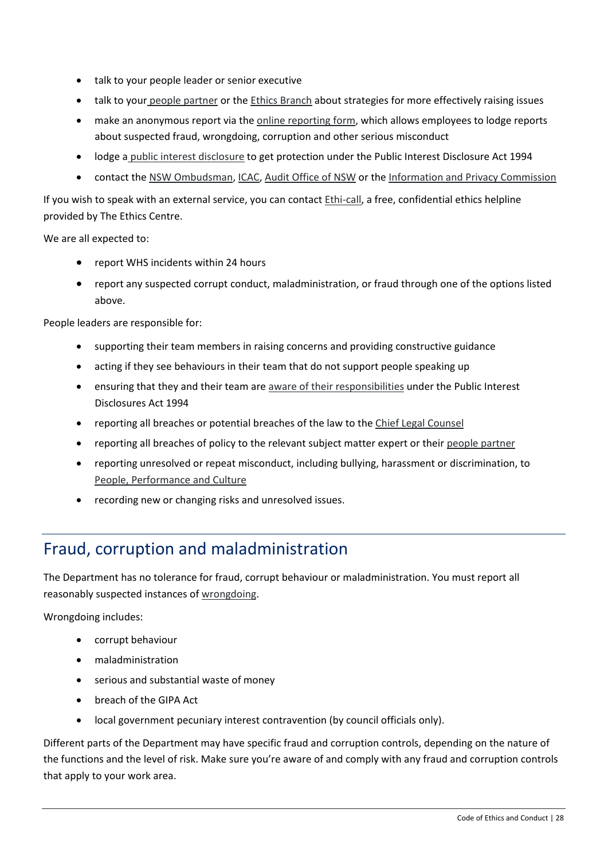- talk to your people leader or senior executive
- talk to your [people partner](https://intranet.dpie.nsw.gov.au/industry/support-and-services/people_partners/dpie-people-partners) or the [Ethics Branch](mailto:ethics@dpie.nsw.gov.au) about strategies for more effectively raising issues
- make an anonymous report via th[e online reporting form,](https://dpie.whispli.com/speak-up-form) which allows employees to lodge reports about suspected fraud, wrongdoing, corruption and other serious misconduct
- lodge a [public interest disclosure](https://intranet.dpie.nsw.gov.au/ethics-conduct/speaking-up/public-interest-disclosure-policy/Public-Interest-Disclosures-Policy.pdf) to get protection under the Public Interest Disclosure Act 1994
- contact the [NSW Ombudsman,](https://www.ombo.nsw.gov.au/) [ICAC,](https://www.icac.nsw.gov.au/) [Audit Office of NSW](https://www.audit.nsw.gov.au/) or the [Information and Privacy Commission](https://www.ipc.nsw.gov.au/)

If you wish to speak with an external service, you can contact [Ethi-call,](https://intranet.dpie.nsw.gov.au/ethics-conduct/speaking-up/ethi-call) a free, confidential ethics helpline provided by The Ethics Centre.

We are all expected to:

- report WHS incidents within 24 hours
- report any suspected corrupt conduct, maladministration, or fraud through one of the options listed above.

People leaders are responsible for:

- supporting their team members in raising concerns and providing constructive guidance
- acting if they see behaviours in their team that do not support people speaking up
- ensuring that they and their team are [aware of their responsibilities](https://intranet.dpie.nsw.gov.au/ethics-conduct/speaking-up/public-interest-disclosure-policy) under the Public Interest Disclosures Act 1994
- reporting all breaches or potential breaches of the law to the [Chief Legal Counsel](mailto:legal.admin@planning.nsw.gov.au)
- reporting all breaches of policy to the relevant subject matter expert or thei[r people partner](https://intranet.dpie.nsw.gov.au/industry/support-and-services/people_partners/dpie-people-partners)
- reporting unresolved or repeat misconduct, including bullying, harassment or discrimination, to [People, Performance and Culture](https://intranet.dpie.nsw.gov.au/your-services/human-resources/workplace-people-issues)
- recording new or changing risks and unresolved issues.

## <span id="page-27-0"></span>Fraud, corruption and maladministration

The Department has no tolerance for fraud, corrupt behaviour or maladministration. You must report all reasonably suspected instances o[f wrongdoing.](https://intranet.dpie.nsw.gov.au/ethics-conduct/speaking-up/public-interest-disclosure-policy)

Wrongdoing includes:

- corrupt behaviour
- maladministration
- serious and substantial waste of money
- breach of the GIPA Act
- local government pecuniary interest contravention (by council officials only).

Different parts of the Department may have specific fraud and corruption controls, depending on the nature of the functions and the level of risk. Make sure you're aware of and comply with any fraud and corruption controls that apply to your work area.